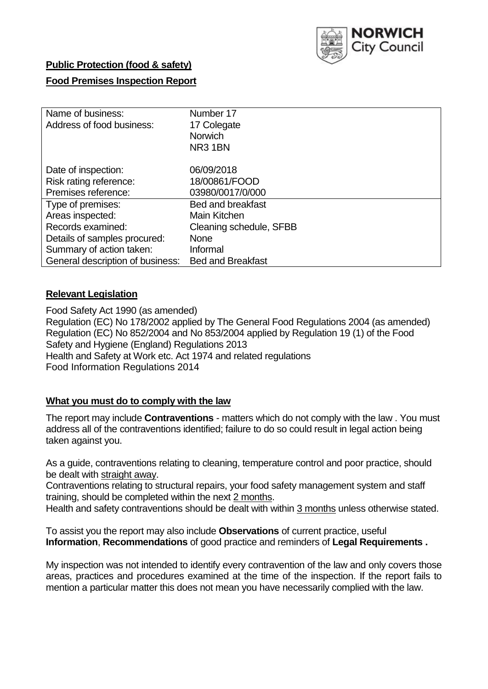

### **Public Protection (food & safety)**

#### **Food Premises Inspection Report**

| Name of business:                | Number 17                |
|----------------------------------|--------------------------|
| Address of food business:        | 17 Colegate              |
|                                  | <b>Norwich</b>           |
|                                  | NR31BN                   |
| Date of inspection:              | 06/09/2018               |
| Risk rating reference:           | 18/00861/FOOD            |
| Premises reference:              | 03980/0017/0/000         |
| Type of premises:                | <b>Bed and breakfast</b> |
| Areas inspected:                 | Main Kitchen             |
| Records examined:                | Cleaning schedule, SFBB  |
| Details of samples procured:     | <b>None</b>              |
| Summary of action taken:         | Informal                 |
| General description of business: | <b>Bed and Breakfast</b> |

#### **Relevant Legislation**

Food Safety Act 1990 (as amended) Regulation (EC) No 178/2002 applied by The General Food Regulations 2004 (as amended) Regulation (EC) No 852/2004 and No 853/2004 applied by Regulation 19 (1) of the Food Safety and Hygiene (England) Regulations 2013 Health and Safety at Work etc. Act 1974 and related regulations Food Information Regulations 2014

### **What you must do to comply with the law**

The report may include **Contraventions** - matters which do not comply with the law . You must address all of the contraventions identified; failure to do so could result in legal action being taken against you.

As a guide, contraventions relating to cleaning, temperature control and poor practice, should be dealt with straight away.

Contraventions relating to structural repairs, your food safety management system and staff training, should be completed within the next 2 months.

Health and safety contraventions should be dealt with within 3 months unless otherwise stated.

To assist you the report may also include **Observations** of current practice, useful **Information**, **Recommendations** of good practice and reminders of **Legal Requirements .**

My inspection was not intended to identify every contravention of the law and only covers those areas, practices and procedures examined at the time of the inspection. If the report fails to mention a particular matter this does not mean you have necessarily complied with the law.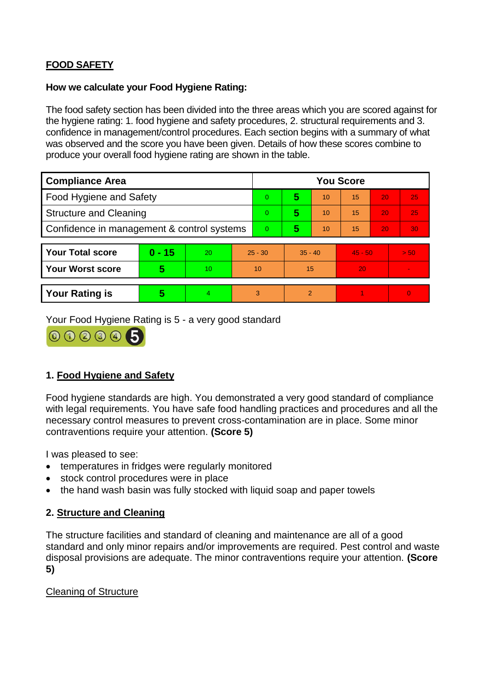# **FOOD SAFETY**

### **How we calculate your Food Hygiene Rating:**

The food safety section has been divided into the three areas which you are scored against for the hygiene rating: 1. food hygiene and safety procedures, 2. structural requirements and 3. confidence in management/control procedures. Each section begins with a summary of what was observed and the score you have been given. Details of how these scores combine to produce your overall food hygiene rating are shown in the table.

| <b>Compliance Area</b>                     |          |                  |           | <b>You Score</b> |                |    |           |    |                |  |  |
|--------------------------------------------|----------|------------------|-----------|------------------|----------------|----|-----------|----|----------------|--|--|
| Food Hygiene and Safety                    |          |                  |           | 0                | 5              | 10 | 15        | 20 | 25             |  |  |
| <b>Structure and Cleaning</b>              |          |                  | $\Omega$  | 5                | 10             | 15 | 20        | 25 |                |  |  |
| Confidence in management & control systems |          |                  | $\Omega$  | 5                | 10             | 15 | 20        | 30 |                |  |  |
|                                            |          |                  |           |                  |                |    |           |    |                |  |  |
| <b>Your Total score</b>                    | $0 - 15$ | 20               | $25 - 30$ |                  | $35 - 40$      |    | $45 - 50$ |    | > 50           |  |  |
| <b>Your Worst score</b>                    | 5        | 10 <sup>10</sup> | 10        |                  | 15             |    | 20        |    | $\blacksquare$ |  |  |
|                                            |          |                  |           |                  |                |    |           |    |                |  |  |
| <b>Your Rating is</b>                      | 5        | 4                | 3         |                  | $\overline{2}$ |    |           |    | $\overline{0}$ |  |  |

Your Food Hygiene Rating is 5 - a very good standard



# **1. Food Hygiene and Safety**

Food hygiene standards are high. You demonstrated a very good standard of compliance with legal requirements. You have safe food handling practices and procedures and all the necessary control measures to prevent cross-contamination are in place. Some minor contraventions require your attention. **(Score 5)**

I was pleased to see:

- temperatures in fridges were regularly monitored
- stock control procedures were in place
- the hand wash basin was fully stocked with liquid soap and paper towels

# **2. Structure and Cleaning**

The structure facilities and standard of cleaning and maintenance are all of a good standard and only minor repairs and/or improvements are required. Pest control and waste disposal provisions are adequate. The minor contraventions require your attention. **(Score 5)**

## Cleaning of Structure